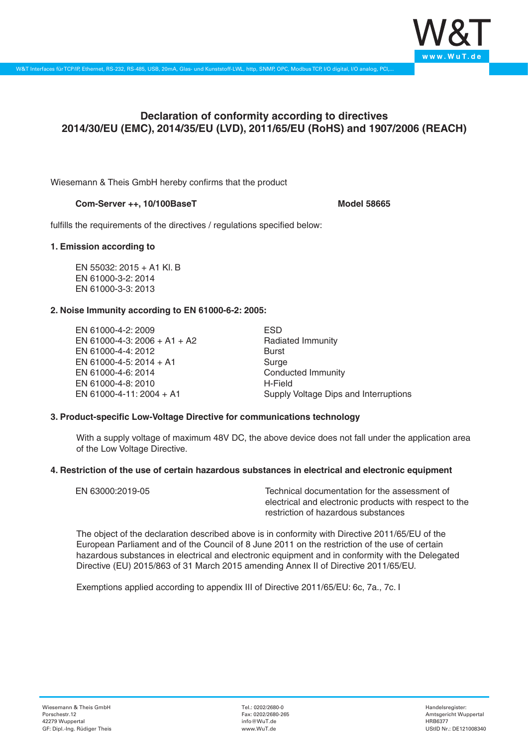

# **Declaration of conformity according to directives 2014/30/EU (EMC), 2014/35/EU (LVD), 2011/65/EU (RoHS) and 1907/2006 (REACH)**

Wiesemann & Theis GmbH hereby confirms that the product

## **Com-Server ++, 10/100BaseT Model 58665**

fulfills the requirements of the directives / regulations specified below:

## **1. Emission according to**

EN 55032: 2015 + A1 Kl. B EN 61000-3-2: 2014 EN 61000-3-3: 2013

## **2. Noise Immunity according to EN 61000-6-2: 2005:**

EN 61000-4-2: 2009 EN 61000-4-3: 2006 + A1 + A2 EN 61000-4-4: 2012 EN 61000-4-5: 2014 + A1 EN 61000-4-6: 2014 EN 61000-4-8: 2010 EN 61000-4-11: 2004 + A1

ESD Radiated Immunity Burst Surge Conducted Immunity H-Field Supply Voltage Dips and Interruptions

### **3. Product-specific Low-Voltage Directive for communications technology**

With a supply voltage of maximum 48V DC, the above device does not fall under the application area of the Low Voltage Directive.

### **4. Restriction of the use of certain hazardous substances in electrical and electronic equipment**

| EN 63000:2019-05 | Technical documentation for the assessment of          |
|------------------|--------------------------------------------------------|
|                  | electrical and electronic products with respect to the |
|                  | restriction of hazardous substances                    |

The object of the declaration described above is in conformity with Directive 2011/65/EU of the European Parliament and of the Council of 8 June 2011 on the restriction of the use of certain hazardous substances in electrical and electronic equipment and in conformity with the Delegated Directive (EU) 2015/863 of 31 March 2015 amending Annex II of Directive 2011/65/EU.

Exemptions applied according to appendix III of Directive 2011/65/EU: 6c, 7a., 7c. I